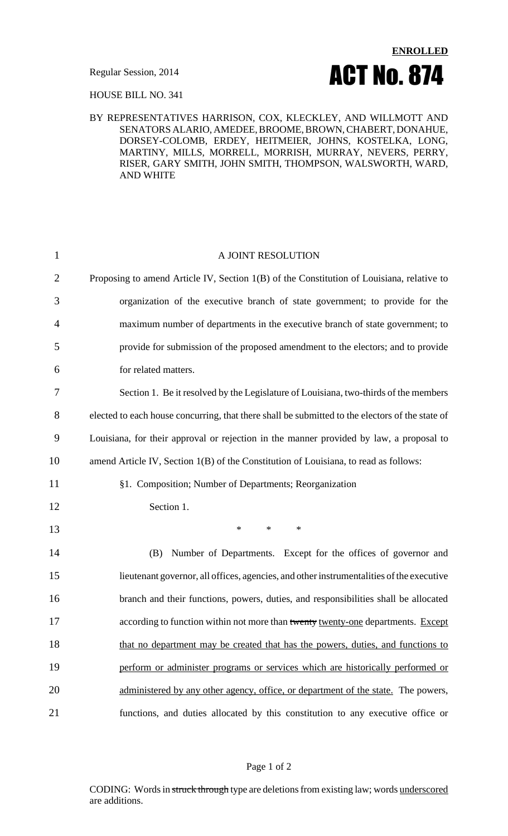

HOUSE BILL NO. 341

## BY REPRESENTATIVES HARRISON, COX, KLECKLEY, AND WILLMOTT AND SENATORS ALARIO, AMEDEE, BROOME, BROWN, CHABERT, DONAHUE, DORSEY-COLOMB, ERDEY, HEITMEIER, JOHNS, KOSTELKA, LONG, MARTINY, MILLS, MORRELL, MORRISH, MURRAY, NEVERS, PERRY, RISER, GARY SMITH, JOHN SMITH, THOMPSON, WALSWORTH, WARD, AND WHITE

| $\mathbf{1}$   | A JOINT RESOLUTION                                                                              |
|----------------|-------------------------------------------------------------------------------------------------|
| $\overline{2}$ | Proposing to amend Article IV, Section 1(B) of the Constitution of Louisiana, relative to       |
| 3              | organization of the executive branch of state government; to provide for the                    |
| $\overline{4}$ | maximum number of departments in the executive branch of state government; to                   |
| 5              | provide for submission of the proposed amendment to the electors; and to provide                |
| 6              | for related matters.                                                                            |
| 7              | Section 1. Be it resolved by the Legislature of Louisiana, two-thirds of the members            |
| 8              | elected to each house concurring, that there shall be submitted to the electors of the state of |
| 9              | Louisiana, for their approval or rejection in the manner provided by law, a proposal to         |
| 10             | amend Article IV, Section 1(B) of the Constitution of Louisiana, to read as follows:            |
| 11             | §1. Composition; Number of Departments; Reorganization                                          |
| 12             | Section 1.                                                                                      |
| 13             | $\ast$<br>$\ast$<br>∗                                                                           |
| 14             | Number of Departments. Except for the offices of governor and<br>(B)                            |
| 15             | lieutenant governor, all offices, agencies, and other instrumentalities of the executive        |
| 16             | branch and their functions, powers, duties, and responsibilities shall be allocated             |
| 17             | according to function within not more than twenty twenty-one departments. Except                |
| 18             | that no department may be created that has the powers, duties, and functions to                 |
| 19             | perform or administer programs or services which are historically performed or                  |
| 20             | administered by any other agency, office, or department of the state. The powers,               |
| 21             | functions, and duties allocated by this constitution to any executive office or                 |

CODING: Words in struck through type are deletions from existing law; words underscored are additions.